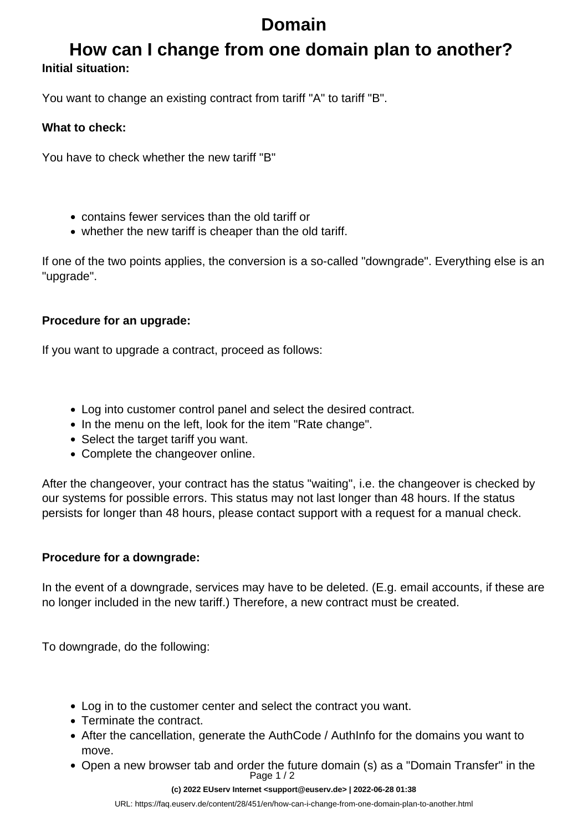# **Domain**

### **How can I change from one domain plan to another? Initial situation:**

You want to change an existing contract from tariff "A" to tariff "B".

#### **What to check:**

You have to check whether the new tariff "B"

- contains fewer services than the old tariff or
- whether the new tariff is cheaper than the old tariff.

If one of the two points applies, the conversion is a so-called "downgrade". Everything else is an "upgrade".

#### **Procedure for an upgrade:**

If you want to upgrade a contract, proceed as follows:

- Log into customer control panel and select the desired contract.
- In the menu on the left, look for the item "Rate change".
- Select the target tariff you want.
- Complete the changeover online.

After the changeover, your contract has the status "waiting", i.e. the changeover is checked by our systems for possible errors. This status may not last longer than 48 hours. If the status persists for longer than 48 hours, please contact support with a request for a manual check.

### **Procedure for a downgrade:**

In the event of a downgrade, services may have to be deleted. (E.g. email accounts, if these are no longer included in the new tariff.) Therefore, a new contract must be created.

To downgrade, do the following:

- Log in to the customer center and select the contract you want.
- Terminate the contract.
- After the cancellation, generate the AuthCode / AuthInfo for the domains you want to move.
- Open a new browser tab and order the future domain (s) as a "Domain Transfer" in the Page 1 / 2

#### **(c) 2022 EUserv Internet <support@euserv.de> | 2022-06-28 01:38**